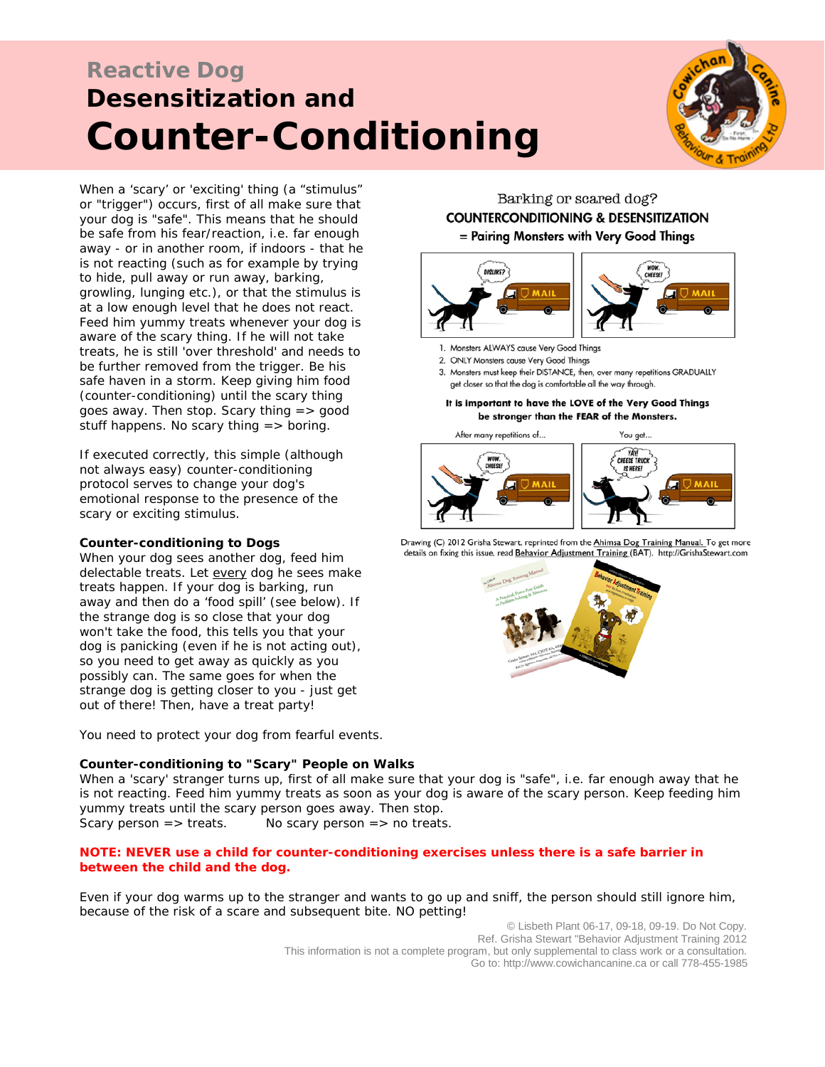# **Reactive Dog Desensitization and Counter-Conditioning**



When a 'scary' or 'exciting' thing (a "stimulus" or "trigger") occurs, first of all make sure that your dog is "safe". This means that he should be safe from his fear/reaction, i.e. far enough away - or in another room, if indoors - that he is not reacting (such as for example by trying to hide, pull away or run away, barking, growling, lunging etc.), or that the stimulus is at a low enough level that he does not react. Feed him yummy treats whenever your dog is aware of the scary thing. If he will not take treats, he is still 'over threshold' and needs to be further removed from the trigger. Be his safe haven in a storm. Keep giving him food (counter-conditioning) until the scary thing goes away. Then stop. Scary thing => good stuff happens. No scary thing  $=$  > boring.

If executed correctly, this simple (although not always easy) counter-conditioning protocol serves to change your dog's emotional response to the presence of the scary or exciting stimulus.

#### **Counter-conditioning to Dogs**

When your dog sees another dog, feed him delectable treats. Let *every* dog he sees make treats happen. If your dog is barking, run away and then do a 'food spill' (see below). If the strange dog is so close that your dog won't take the food, this tells you that your dog is panicking (even if he is not acting out), so you need to get away as quickly as you possibly can. The same goes for when the strange dog is getting closer to you - just get out of there! Then, have a treat party!

You need to protect your dog from fearful events.

## **Counter-conditioning to "Scary" People on Walks**

Barking or scared dog? **COUNTERCONDITIONING & DESENSITIZATION** = Pairing Monsters with Very Good Things



- 1. Monsters ALWAYS cause Very Good Things
- 2. ONLY Monsters cause Very Good Things
- 3. Monsters must keep their DISTANCE, then, over many repetitions GRADUALLY get closer so that the dog is comfortable all the way through.

It is important to have the LOVE of the Very Good Things be stronger than the FEAR of the Monsters.





Drawing (C) 2012 Grisha Stewart, reprinted from the Ahimsa Dog Training Manual. To get more details on fixing this issue, read Behavior Adjustment Training (BAT). http://GrishaStewart.com



When a 'scary' stranger turns up, first of all make sure that your dog is "safe", i.e. far enough away that he is not reacting. Feed him yummy treats as soon as your dog is aware of the scary person. Keep feeding him yummy treats until the scary person goes away. Then stop.

Scary person  $\Rightarrow$  treats. No scary person  $\Rightarrow$  no treats.

## *NOTE: NEVER use a child for counter-conditioning exercises unless there is a safe barrier in between the child and the dog.*

Even if your dog warms up to the stranger and wants to go up and sniff, the person should still ignore him, because of the risk of a scare and subsequent bite. NO petting!

© Lisbeth Plant 06-17, 09-18, 09-19. Do Not Copy. Ref. Grisha Stewart "Behavior Adjustment Training 2012 This information is not a complete program, but only supplemental to class work or a consultation. Go to[: http://www.cowichancanine.ca](http://www.cowichancanine.ca/) or call 778-455-1985